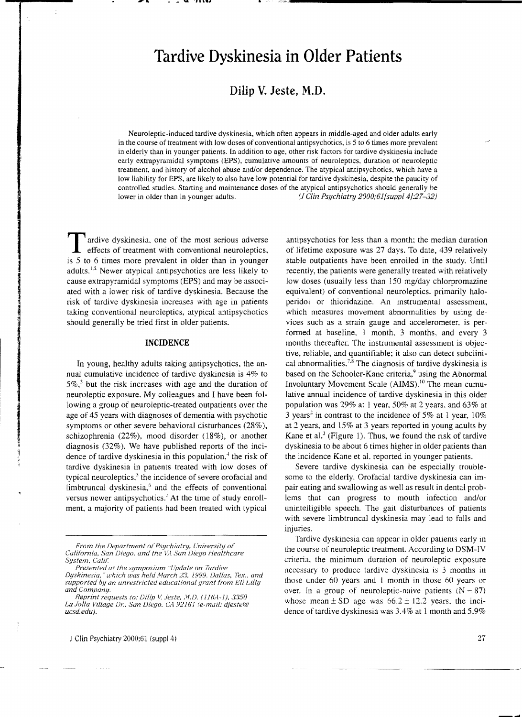# **Tardive Dyskinesia in Older Patients**

## **Dilip V. Jeste, M.D.**

Neuroleptic-induced tardive dyskinesia, which often appears in middle-aged and older adults early in the course of treatment with low doses of conventional antipsychotics, is 5 to 6 times more prevalent in elderly than in younger patients. In addition to age. other risk factors for tardive dyskinesia include early extrapyramidal symptoms (EPS), cumulative amounts of neuroleptics. duration of neuroleptic treatment, and history of alcohol abuse and/or dependence. The atypical antipsychotics, which have a low liability for EPS, are likely to also have low potential for tardive dyskinesia. despite the paucity of controlled studies. Starting and maintenance doses of the atypical antipsychotics should generally be lower in older than in younger adults. (1 *Glin Psychiatry 2000;61[suppI4j:27-32)* 

Tardive dyskinesia, one of the most serious adverse effects of treatment with conventional neuroleptics, is 5 to 6 times more prevalent in older than in younger adults.<sup>1.2</sup> Newer atypical antipsychotics are less likely to cause extrapyramidal symptoms (EPS) and may be associated with a lower risk of tardive dyskinesia. Because the risk of tardive dyskinesia increases with age in patients taking conventional neuroleptics, atypical antipsychotics should generally be tried first in older patients.

#### **INCIDENCE**

In young, healthy adults taking antipsychotics, the annual cumulative incidence of tardive dyskinesia is 4% to  $5\%$ ,<sup>3</sup> but the risk increases with age and the duration of neuroleptic exposure. My colleagues and I have been following a group of neuroleptic-treated outpatients over the age of 45 years with diagnoses of dementia with psychotic symptoms or other severe behavioral disturbances (28%), schizophrenia (22%), mood disorder (18%), or another diagnosis (32%). We have published reports of the incidence of tardive dyskinesia in this population, $<sup>4</sup>$  the risk of</sup> tardive dyskinesia in patients treated with low doses of typical neuroleptics, $5$  the incidence of severe orofacial and limbtruncal dyskinesia, $6$  and the effects of conventional versus newer antipsychotics.<sup>2</sup> At the time of study enrollment. a majority of patients had been treated with typical

antipsychotics for less than a month; the median duration of lifetime exposure was 27 days, To date, 439 relatively stable outpatients have been enrolled in the study. Until recently, the patients were generally treated with relatively low doses (usually less than 150 mg/day chlorpromazine equivalent) of conventional neuroleptics, primarily haloperidol or thioridazine. An instrumental assessment, which measures movement abnormalities by using devices such as a strain gauge and accelerometer, is performed at baseline. I month. 3 months, and every 3 months thereafter. The instrumental assessment is objective, reliable, and quantifiable: it also can detect subclinical abnormalities.<sup>7,8</sup> The diagnosis of tardive dyskinesia is based on the Schooler-Kane criteria,<sup>9</sup> using the Abnormal Involuntary Movement Scale (AIMS).<sup>10</sup> The mean cumulative annual incidence of tardive dyskinesia in this older population was 29% at I year, 50% at 2 years. and 63% at 3 years<sup>2</sup> in contrast to the incidence of 5% at 1 year,  $10\%$ at 2. years, and 15% at 3 years reported in young adults by Kane et al.<sup>3</sup> (Figure 1). Thus, we found the risk of tardive dyskinesia to be about 6 times higher in older patients than the incidence Kane et al. reported in younger patients.

Severe tardive dyskinesia can be especially troublesome to the elderly. Orofacial tardive dyskinesia can impair eating and swallowing as well as result in dental problems that can progress to mouth infection and/or unintelligible speech. The gait disturbances of patients with severe limbtruncal dyskinesia may lead to falls and injuries.

Tardive dyskinesia can appear in older patients early in the course of neuroleptic treatment. According to OSM-IV criteria. the minimum duration of neuroleptic exposure necessary to produce tardive dyskinesia is 3 months in those under 60 years and I month in those 60 years or over. In a group of neuroleptic-naive patients  $(N = 87)$ whose mean  $\pm$  SD age was  $66.2 \pm 12.2$  years, the incidence of tardive dyskinesia was 3.4% at 1 month and 5.9%

*From the Department ot'Psychiatry. Cnil'ersityof' California, San Diego, and the VA San Diego Healthcare System, Calif.* 

*Presented at the symposium "Update on Tardive Dyskinesia," which was held March 23, 1999. Dallas, Tex.. and supported by an unrestricted educational.grant f'rom Eli Lilly and Company.* 

*Reprint requests to: Dilip V. Jeste, M.D. (116A-1), 3350* La Jolla Village Dr., San Diego. CA 92161 (e-mail: djeste@ *ucsd.edu}.*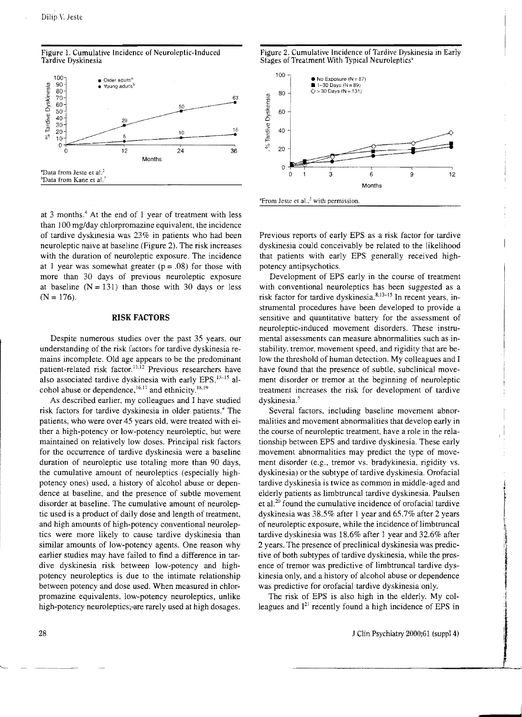



at 3 months.<sup>4</sup> At the end of 1 year of treatment with less than 100 mg/day chlorpromazine equivalent, the incidence of tardive dyskinesia was 23% in patients who had been neuroleptic naive at baseline (Figure 2). The risk increases with the duration of neuroleptic exposure. The incidence at 1 year was somewhat greater  $(p = .08)$  for those with more than 30 days of previous neuroleptic exposure at baseline  $(N = 131)$  than those with 30 days or less  $(N = 176)$ .

#### **RISK** FACTORS

Despite numerous studies over the past 35 years. our understanding of the risk factors for tardive dyskinesia remains incomplete. Old age appears to be the predominant patient-related risk factor.<sup>11,12</sup> Previous researchers have also associated tardive dyskinesia with early EPS. $<sup>13-15</sup>$  al-</sup> cohol abuse or dependence,<sup>16,17</sup> and ethnicity.<sup>18,19</sup>

As described earlier. my colleagues and I have studied risk factors for tardive dyskinesia in older patients.<sup>4</sup> The patients, who were over 45 years old. were treated with either a high-potency or low-potency neuroleptic, but were maintained on relatively low doses. Principal risk factors for the occurrence of tardive dyskinesia were a baseline duration of neuroleptic use totaling more than 90 days, the cumulative amount of neuroleptics (especially highpotency ones) used, a history of alcohol abuse or dependence at baseline, and the presence of subtle movement disorder at baseline. The cumulative amount of neuroleptic used is a product of daily dose and length of treatment, and high amounts of high-potency conventional neuroleptics were more likely to cause tardive dyskinesia than similar amounts of low-potency agents. One reason why earlier studies may have failed to find a difference in tardive dyskinesia risk between low-potency and highpotency neuroleptics is due to the intimate relationship between potency and dose used. When measured in chlorpromazine equivalents, low-potency neuroleptics, unlike high-potency neuroleptics;-are rarely used at high dosages.

Figure 2. Cumulative Incidence of Tardive Dyskinesia in Early Stages of Treatment With Typical Neuroleptics"



<sup>a</sup>From Jeste et al..<sup>5</sup> with permission

Previous reports of early EPS as a risk factor for tardive dyskinesia could conceivably be related to the likelihood that patients with early EPS generally received highpotency antipsychotics.

Development of EPS early in the course of treatment with conventional neuroleptics has been suggested as a risk factor for tardive dyskinesia.<sup>8,13-15</sup> In recent years, instrumental procedures have been developed to provide a sensitive and quantitative battery for the assessment of neuroleptic-induced movement disorders. These instrumental assessments can measure abnormalities such as instability, tremor. movement speed, and rigidity that are below the threshold of human detection. My colleagues and I have found that the presence of subtle, subclinical movement disorder or tremor at the beginning of neuroleptic treatment increases the risk for development of tardive dyskinesia.<sup>5</sup>

Several factors, including baseline movement abnormalities and movement abnormalities that develop early in the course of neuroleptic treatment. have a role in the relationship between EPS and tardive dyskinesia. These early movement abnormalities may predict the type of movement disorder (e.g., tremor vs. bradykinesia, rigidity vs. dyskinesia) or the SUbtype of tardive dyskinesia. Orofacial tardive dyskinesia is twice as common in middle-aged and elderly patients as limbtruncal tardive dyskinesia. Paulsen et al. 20 found the cumulative incidence of orofacial tardive dyskinesia was 38.5% after 1 year and 65.7% after 2 years of neuroleptic exposure, while the incidence of limbtruncal tardive dyskinesia was 18.6% after 1 year and 32.6% after 2 years. The presence of preclinical dyskinesia was predictive of both subtypes of tardive dyskinesia, while the presence of tremor was predictive of limbtruncal tardive dyskinesia only, and a history of alcohol abuse or dependence was predictive for orofacial tardive dyskinesia only.

The risk of EPS is also high in the elderly. My colleagues and  $I^{21}$  recently found a high incidence of EPS in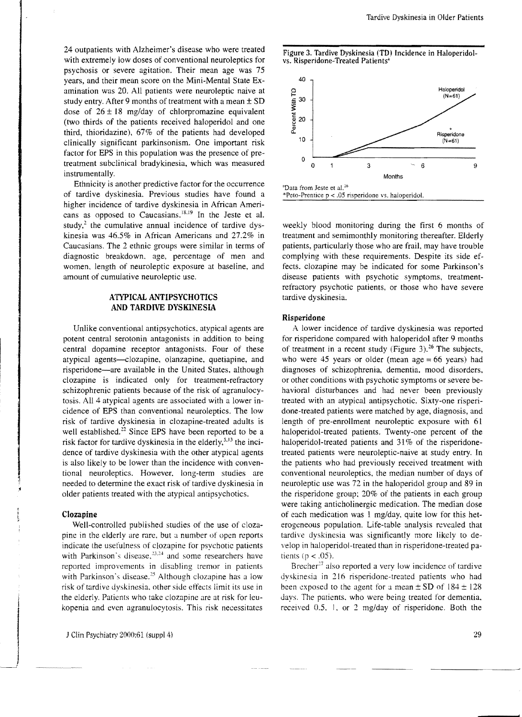Tardive Dyskinesia in Older Patients

24 outpatients with Alzheimer's disease who were treated with extremely low doses of conventional neuroleptics for psychosis or severe agitation. Their mean age was 75 years, and their mean score on the Mini-Mental State Examination was 20. All patients were neuroleptic naive at study entry. After 9 months of treatment with a mean ± SD dose of  $26 \pm 18$  mg/day of chlorpromazine equivalent (two thirds of the patients received haloperidol and one third, thioridazine), 67% of the patients had developed clinically significant parkinsonism. One important risk factor for EPS in this population was the presence of pretreatment subclinical bradykinesia, which was measured instrumentally.

Ethnicity is another predictive factor for the occurrence of tardive dyskinesia. Previous studies have found a higher incidence of tardive dyskinesia in African Americans as opposed to Caucasians.<sup>18,19</sup> In the Jeste et al. study, $2$  the cumulative annual incidence of tardive dyskinesia was 46.5% in African Americans and 27.2% in Caucasians. The 2 ethnic groups were similar in terms of diagnostic breakdown. age, percentage of men and women, length of neuroleptic exposure at baseline, and amount of cumulative neuroleptic use.

#### **ATYPICAL ANTIPSYCHOTICS AND TARDIVE DYSKINESIA**

Unlike conventional antipsychotics, atypical agents are potent central serotonin antagonists in addition to being central dopamine receptor antagonists. Four of these atypical agents-clozapine, olanzapine, quetiapine, and risperidone-are available in the United States, although clozapine is indicated only for treatment-refractory schizophrenic patients because of the risk of agranulocytosis. All 4 atypical agents are associated with a lower incidence of EPS than conventional neuroleptics. The low risk of tardive dyskinesia in c1ozapine-treated adults is well established.<sup>22</sup> Since EPS have been reported to be a risk factor for tardive dyskinesia in the elderly,  $5.13$  the incidence of tardive dyskinesia with the other atypical agents is also likely to be lower than the incidence with conventional neuroleptics. However. long-term studies are needed to determine the exact risk of tardive dyskinesia in older patients treated with the atypical antipsychotics.

#### **Clozapine**

Well-controlled published studies of the use of clozapine in the elderly are rare. but a number of open reports indicate the usefulness of clozapine for psychotic patients with Parkinson's disease, $23.24$  and some researchers have reported improvements in disabling tremor in patients with Parkinson's disease.<sup>25</sup> Although clozapine has a low risk of tardive dyskinesia. other side etfects limit its use in the elderly. Patients who take clozapine are at risk for leukopenia and even agranulocytosis. This risk necessitates





weekly blood monitoring during the first 6 months of treatment and semimonthly monitoring thereafter. Elderly patients, particularly those who are frail, may have trouble complying with these requirements. Despite its side effects. clozapine may be indicated for some Parkinson's disease patients with psychotic symptoms, treatmentrefractory psychotic patients, or those who have severe tardive dyskinesia.

#### **Risperidone**

A lower incidence of tardive dyskinesia was reported for risperidone compared with haloperidol after 9 months of treatment in a recent study (Figure 3).<sup>26</sup> The subjects, who were 45 years or older (mean age  $= 66$  years) had diagnoses of schizophrenia, dementia. mood disorders, or other conditions with psychotic symptoms or severe behavioral disturbances and had never been previously treated with an atypical antipsychotic. Sixty-one risperidone-treated patients were matched by age, diagnosis, and length of pre-enrollment neuroleptic exposure with 61 haloperidol-treated patients. Twenty-one percent of the haloperidol-treated patients and 31% of the risperidonetreated patients were neuroleptic-naive at study entry. In the patients who had previously received treatment with conventional neuroleptics, the median number of days of neuroleptic use was 72 in the haloperidol group and 89 in the risperidone group; 20% of the patients in each group were taking anticholinergic medication. The median dose of each medication was 1 mg/day, quite low for this heterogeneous population. Life-table analysis revealed that tardive dyskinesia was significantly more likely to develop in haloperidol-treated than in risperidone-treated patients ( $p < .05$ ).

Brecher<sup>27</sup> also reported a very low incidence of tardive dyskinesia in 216 risperidone-treated patients who had been exposed to the agent for a mean  $\pm$  SD of 184 $\pm$ 128 days. The patients. who were being treated for dementia. received  $0.5$ . 1, or 2 mg/day of risperidone. Both the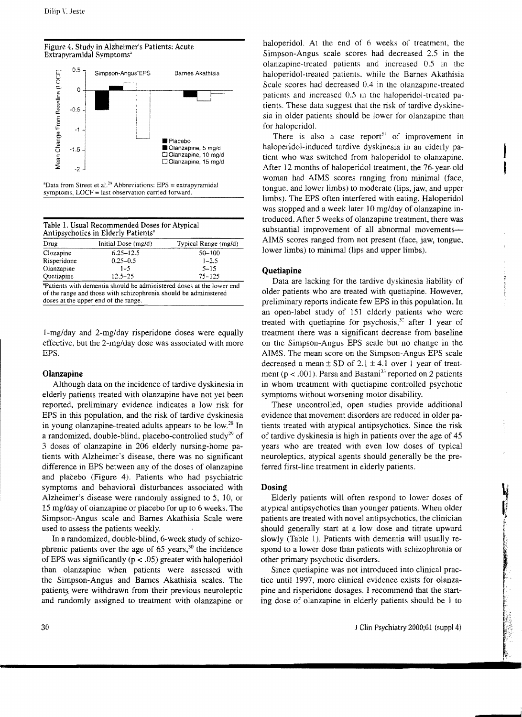



 $P$  Data from Street et al.<sup>29</sup> Abbreviations: EPS = extrapyramidal symptoms, LOCF = last observation carried forward.

| Drug        | Initial Dose (mg/d) | Typical Range (mg/d) |
|-------------|---------------------|----------------------|
| Clozapine   | $6.25 - 12.5$       | $50 - 100$           |
| Risperidone | $0.25 - 0.5$        | $1 - 2.5$            |
| Olanzapine  | $1 - 5$             | $5 - 15$             |
| Ouetiapine  | $12.5 - 25$         | $75 - 125$           |

1-mg/day and 2-mg/day risperidone doses were equally effective, but the 2-mg/day dose was associated with more EPS.

#### Olanzapine

Although data on the incidence of tardive dyskinesia in elderly patients treated with olanzapine have not yet been reported, preliminary evidence indicates a low risk for EPS in this population, and the risk of tardive dyskinesia in young olanzapine-treated adults appears to be low.<sup>28</sup> In a randomized, double-blind, placebo-controlled study<sup>29</sup> of 3 doses of olanzapine in 206 elderly nursing-home patients with Alzheimer's disease, there was no significant difference in EPS between any of the doses of olanzapine and plačebo (Figure 4). Patients who had psychiatric symptoms and behavioral disturbances associated with Alzheimer's disease were randomly assigned to 5, 10, or 15 mg/day of olanzapine or placebo for up to 6 weeks. The Simpson-Angus scale and Barnes Akathisia Scale were used to assess the patients weekly.

In a randomized, double-blind, 6-week study of schizophrenic patients over the age of 65 years,<sup>30</sup> the incidence of EPS was significantly ( $p < .05$ ) greater with haloperidol than olanzapine when patients were assessed with the Simpson-Angus and Barnes Akathisia scales. The patients were withdrawn from their previous neuroleptic and randomly assigned to treatment with olanzapine or haloperidol. At the end of 6 weeks of treatment, the Simpson-Angus scale scores had decreased 2.5 in the olanzapine-treated patients and increased 0.5 in the haloperidol-treated patients, while the Barnes Akathisia Scale scores had decreased 0.4 in the olanzapine-treated patients and increased 0.5 in the haloperidol-treated patients. These data suggest that the risk of tardive dyskinesia in older patients should be lower for olanzapine than for haloperidol.

There is also a case report<sup>31</sup> of improvement in haloperidol-induced tardive dyskinesia in an elderly patient who was switched from haloperidol to olanzapine. After 12 months of haloperidol treatment, the 76-year-old woman had AIMS scores ranging from minimal (face. tongue, and lower limbs) to moderate (lips, jaw, and upper limbs). The EPS often interfered with eating, Haloperidol was stopped and a week later 10 mg/day of olanzapine introduced. After 5 weeks of olanzapine treatment, there was substantial improvement of all abnormal movements-AIMS scores ranged from not present (face, jaw, tongue, lower limbs) to minimal (lips and upper limbs).

#### **Quetiapine**

Data are lacking for the tardive dyskinesia liability of older patients who are treated with quetiapine. However, preliminary reports indicate few EPS in this population. In an open-label study of 151 elderly patients who were treated with quetiapine for psychosis,  $32$  after 1 year of treatment there was a significant decrease from baseline on the Simpson-Angus EPS scale but no change in the AIMS. The mean score on the Simpson-Angus EPS scale decreased a mean  $\pm$  SD of 2.1  $\pm$  4.1 over 1 year of treatment ( $p < .001$ ). Parsa and Bastani<sup>33</sup> reported on 2 patients in whom treatment with quetiapine controlled psychotic symptoms without worsening motor disability.

These uncontrolled, open studies provide additional evidence that movement disorders are reduced in older patients treated with atypical antipsychotics. Since the risk of tardive dyskinesia is high in patients over the age of 45 years who are treated with even low doses of typical neuroleptics, atypical agents should generally be the preferred first-line treatment in elderly patients.

### Dosing

Elderly patients will often respond to lower doses of atypical antipsychotics than younger patients. When older patients are treated with novel antipsychotics, the clinician should generally start at a low dose and titrate upward slowly (Table 1). Patients with dementia will usually respond to a lower dose than patients with schizophrenia or other primary psychotic disorders.

Since quetiapine was not introduced into clinical practice until 1997, more clinical evidence exists for olanzapine and risperidone dosages. I recommend that the starting dose of olanzapine in elderly patients should be 1 to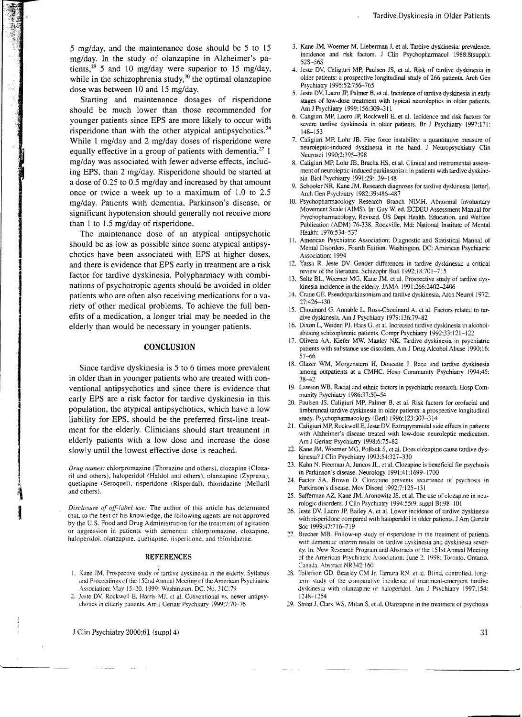5 mg/day, and the maintenance dose should be 5 to 15 mg/day. In the study of olanzapine in Alzheimer's patients,<sup>29</sup> 5 and 10 mg/day were superior to 15 mg/day, while in the schizophrenia study, $30$  the optimal olanzapine dose was between 10 and 15 mg/day.

Starting and maintenance dosages of risperidone should be much lower than those recommended for younger patients since EPS are more likely to occur with risperidone than with the other atypical antipsychotics.<sup>34</sup> While 1 mg/day and 2 mg/day doses of risperidone were equally effective in a group of patients with dementia,  $2^7$  1 mg/day was associated with fewer adverse effects, including EPS, than 2 mg/day. Risperidone should be started at a dose of 0.25 to 0.5 mg/day and increased by that amount once or twice a week up to a maximum of 1.0 to 2.5 mg/day. Patients with dementia, Parkinson's disease, or significant hypotension should generally not receive more than  $1$  to  $1.5$  mg/day of risperidone.

than I to 1.5 mg/day of risperidone.<br>The maintenance dose of an atypical antipsychotic<br>should be as low as possible since some atypical antipsy-<br>chotics have been associated with EPS at higher doses,<br>and there is evidence should be as low as possible since some atypical antipsychotics have been associated with EPS at higher doses, and there is evidence that EPS early in treatment are a risk factor for tardive dyskinesia. Polypharmacy with combinations of psychotropic agents should be avoided in olde patients who are often also receiving medications for a variety of other medical problems. To achieve the full nations of psychotropic agents should be avoided in older patients who are often also receiving medications for a variety of other medical problems. To achieve the full benefits of a medication, a longer trial may be needed in the elderly than would be necessary in younger patients.

#### **CONCLUSION**

Since tardive dyskinesia is 5 to 6 times more prevalent in older than in younger patients who are treated with conventional antipsychotics and since there is evidence that early EPS are a risk factor for tardive dyskinesia in this population, the atypical antipsychotics, which have a low liability for EPS, should be the preferred first-line treatment for the elderly. Clinicians should start treatment in elderly patients with a low dose and increase the dose slowly until the lowest effective dose is reached.

*Drug names:* chlorpromazine (Thorazine and others), clozapine (Clozaril and others), haloperidol (Haldol and others), olanzapine (Zyprexa), quetiapine (Seroquel), risperidone (Risperdal), thioridazine (Mellaril and others).

*Disclosure of off-label use:* The author of this article has determined that, to the best of his knowledge, the following agents are not approved by the U.S. Food and Drug Administration for the treatment of agitation or aggression in patients with dementia: chlorpromazine. c\ozapine, haloperidol, oianzapine. quetiapine. rispcridone, and thioridazine.

#### REFERENCES

- 1. Kane JM. Prospective study of tardive dyskinesia in the elderly. Syllabus and Proceedings of the 152nd Annual Meeting of the American Psychiatric Association: May 15-20, 1999: Washington, DC. No. 31C:79
- 2. Jeste DV, Rockwell E, Harris MJ, et al. Conventional vs. newer antipsychotics in elderly patients. Am J Geriatr Psychiatry 1999:7:70-76
- 3. Kane JM, Woerner M, Lieberman J, et al. Tardive dyskinesia: prevalence, incidence and risk factors. 1 Clin Psychopharmacol 1988;8(suppl): 52S-56S
- 4. leste DV, Caligiuri MP, Paulsen IS, et al. Risk of tardive dyskinesia in older patients: a prospective longitudinal study of 266 patients. Arch Gen Psychiatry 1995:52:756-765
- 5. Jeste DV. Lacro JP, Palmer B, et al. Incidence of tardive dyskinesia in early stages of low-dose treatment with typical neuroleptics in older patients. Am 1 PSYChiatry 1999; 156:309-311
- 6. Caligiuri MP, Lacro JP, Rockwell E, et al. Incidence and risk factors for severe tardive dyskinesia in older patients. Br J Psychiatry 1997;171: 148-153
- 7. Caligiuri MP, Lohr JB. Fine force instability: a quantitative measure of neuroleptic-induced dyskinesia in the hand. 1 Neuropsychiatry Clin Neurosci 1990:2:395-398
- 8. Caligiuri MP, Lohr JB, Bracha HS, et al. Clinical and instrumental assessmentof neuroleptic-induced parkinsonism in patients with tardive dyskinesia. Bioi Psychiatry 1991:29:139-148
- 9. Schooler NR, Kane JM. Research diagnoses for tardive dyskinesia [letter]. Arch Gen Psychiatry 1982:39:486-487
- 10. Psychopharmacology Research Branch NIMH. Abnormal Involuntary Movement Scale (AIMS). In: Guy W. ed. ECDEU Assessment Manual for Psychopharmacology, Revised. US Dept Health. Education. and Welfare Publication (ADM) 76-338. Rockville, Md: National Institute of Mental Health: 1976:534-537
- II. American Psychiatric Association: Diagnostic and Statistical Manual of Mental Disorders. Fourth Edition. Washington, DC: American Psychiatric Association; 1994
- 12. Yassa R, Jeste DV. Gender differences in tardive dyskinesia: a critical review of the literature. Schizophr Bull 1992;18:701-715
- 13. Saltz BL, Woerner MG, Kane 1M, et al. Prospective study of tardive dyskinesia incidence in the elderly. lAMA 1991 :266:2402-2406
- 14. Crane GE. Pseudoparkinsonism and tardive dyskinesia. Arch Neurol 1972; 17:426-+30
- 15. Chouinard G, Annable L, Ross-Chouinard A, et al. Factors related to tardive dyskinesia. Am 1 Psychiatry 1979; 136:79-82
- 16. Dixon L, Weiden PJ, Haas G, et al. Increased tardive dyskinesia in alcoholabusing schizophrenic patients. Compr Psychiatry 1992;33:121-122
- 17. Olivera AA, Kiefer MW, Manley NK. Tardive dyskinesia in psychiatric patients with substance use disorders. Am 1 Drug Alcohol Abuse 1990;16: 57-66
- 18. Glazer WM, Morgenstern H, Doucette J. Race and tardive dyskinesia among outpatients at a CMHC. Hosp Community Psychiatry 1994:45: 38-42
- 19. Lawson WB. Racial and ethnic factors in psychiatric research. Hosp Community Psychiatry 1986:37:50-54
- 20. Paulsen JS. Caligiuri MP, Palmer B, et al. Risk factors for orofacial and limbtruncal tardive dyskinesia in older patients: a prospective longitudinal study, Psychopharmacology (Berl) 1996;123:307-314
- 21. Caligiuri MP, Rockwell E, Jeste DV. Extrapyramidal side effects in patients with Alzheimer's disease treated with low-dose neuroleptic medication. Am 1 Geriatr Psychiatry 1998:6:75-82
- 22. Kane JM, Woerner MG, Pollack S, et al. Does clozapine cause tardive dyskinesia? J Clin Psychiatry 1993;54:327-330
- 23. Kahn N, Freeman A, 1uncos lL, et al. Clozapine is beneficial for psychosis in Parkinson's disease. Neurology 1991:41:1699-1700
- 24. Factor SA, Brown D. Clozapine prevents recurrence of psychosis in Parkinson's disease. Mov Disord 1992:7: 125-131
- 25. Safferman AZ, Kane 1M, Aronowitz IS. et al. The use of clozapine in neurologic disorders. 1 Clio Psychiatry 1994:55(9, suppl B):98-101
- 26. Jeste DV. Lacro JP. Bailey A. et al. Lower incidence of tardive dyskinesia with risperidone compared with haloperidol in older patients. J Am Geriatr Soc 1999:47:716-719
- 27. Brecher MB. Follow-up study of risperidone in the treatment of patients with dementia: interim results on tardive dyskinesia and dyskinesia severity. In: New Research Program and Abstracts of the 151st Annual Meeting of the American Psychiauic Association: June 2. 1998: Toronto, Ontario. Canada. Abstract NR342: 160
- 28. Tollefson GD. Beasley CM Jr. Tamura RN. et al. Blind, controlled. longterm study of the comparative incidence of treatment-emergent tardive dyskinesia with olanzapine or haloperidol. Am J Psychiatry 1997:154: 12-+&-1254
- 29. Street 1. Clark WS. Mitan S, et al. Olanzapine in the treatment oi psychosis